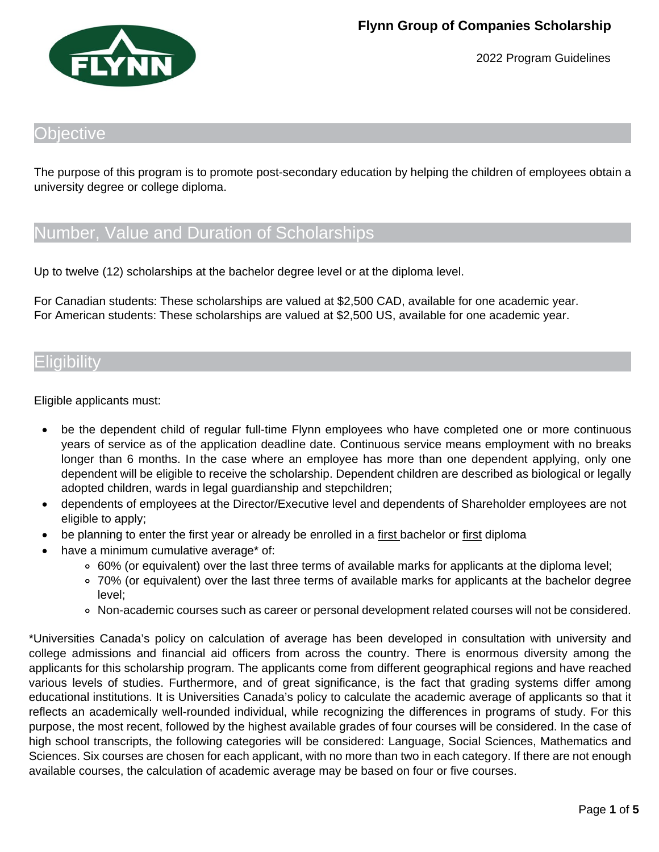

### bjective

The purpose of this program is to promote post-secondary education by helping the children of employees obtain a university degree or college diploma.

## Number, Value and Duration of Scholarships

Up to twelve (12) scholarships at the bachelor degree level or at the diploma level.

For Canadian students: These scholarships are valued at \$2,500 CAD, available for one academic year. For American students: These scholarships are valued at \$2,500 US, available for one academic year.

### Eligibility

Eligible applicants must:

- be the dependent child of regular full-time Flynn employees who have completed one or more continuous years of service as of the application deadline date. Continuous service means employment with no breaks longer than 6 months. In the case where an employee has more than one dependent applying, only one dependent will be eligible to receive the scholarship. Dependent children are described as biological or legally adopted children, wards in legal guardianship and stepchildren;
- dependents of employees at the Director/Executive level and dependents of Shareholder employees are not eligible to apply;
- be planning to enter the first year or already be enrolled in a first bachelor or first diploma
- have a minimum cumulative average\* of:
	- 60% (or equivalent) over the last three terms of available marks for applicants at the diploma level;
	- 70% (or equivalent) over the last three terms of available marks for applicants at the bachelor degree level;
	- Non-academic courses such as career or personal development related courses will not be considered.

\*Universities Canada's policy on calculation of average has been developed in consultation with university and college admissions and financial aid officers from across the country. There is enormous diversity among the applicants for this scholarship program. The applicants come from different geographical regions and have reached various levels of studies. Furthermore, and of great significance, is the fact that grading systems differ among educational institutions. It is Universities Canada's policy to calculate the academic average of applicants so that it reflects an academically well-rounded individual, while recognizing the differences in programs of study. For this purpose, the most recent, followed by the highest available grades of four courses will be considered. In the case of high school transcripts, the following categories will be considered: Language, Social Sciences, Mathematics and Sciences. Six courses are chosen for each applicant, with no more than two in each category. If there are not enough available courses, the calculation of academic average may be based on four or five courses.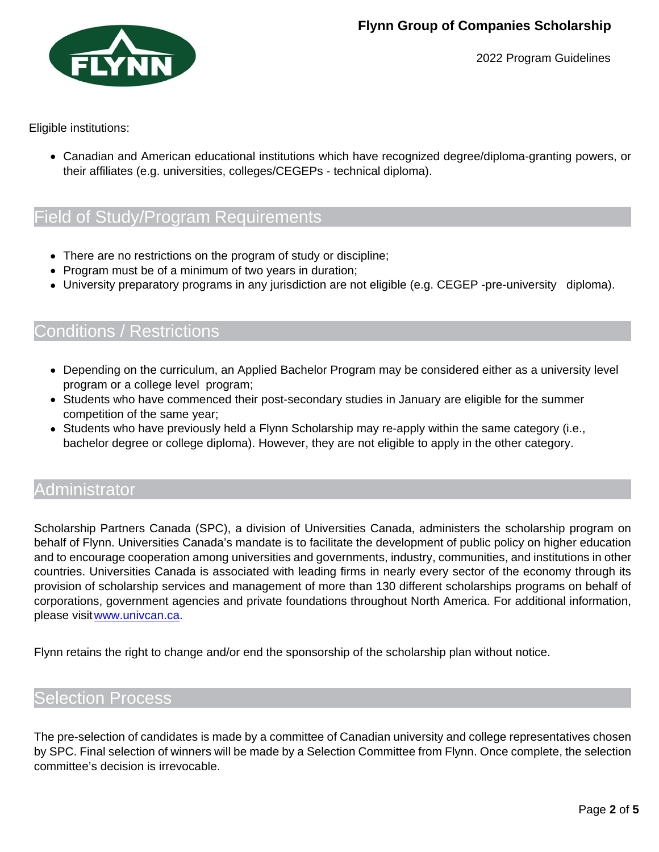

Eligible institutions:

Canadian and American educational institutions which have recognized degree/diploma-granting powers, or their affiliates (e.g. universities, colleges/CEGEPs - technical diploma).

# Field of Study/Program Requirements

- There are no restrictions on the program of study or discipline;
- Program must be of a minimum of two years in duration;
- University preparatory programs in any jurisdiction are not eligible (e.g. CEGEP -pre-university diploma).

### Conditions / Restrictions

- Depending on the curriculum, an Applied Bachelor Program may be considered either as a university level program or a college level program;
- Students who have commenced their post-secondary studies in January are eligible for the summer competition of the same year;
- Students who have previously held a Flynn Scholarship may re-apply within the same category (i.e., bachelor degree or college diploma). However, they are not eligible to apply in the other category.

### Administrator

Scholarship Partners Canada (SPC), a division of Universities Canada, administers the scholarship program on behalf of Flynn. Universities Canada's mandate is to facilitate the development of public policy on higher education and to encourage cooperation among universities and governments, industry, communities, and institutions in other countries. Universities Canada is associated with leading firms in nearly every sector of the economy through its provision of scholarship services and management of more than 130 different scholarships programs on behalf of corporations, government agencies and private foundations throughout North America. For additional information, please visit www.univcan.ca.

Flynn retains the right to change and/or end the sponsorship of the scholarship plan without notice.

### Selection Process

The pre-selection of candidates is made by a committee of Canadian university and college representatives chosen by SPC. Final selection of winners will be made by a Selection Committee from Flynn. Once complete, the selection committee's decision is irrevocable.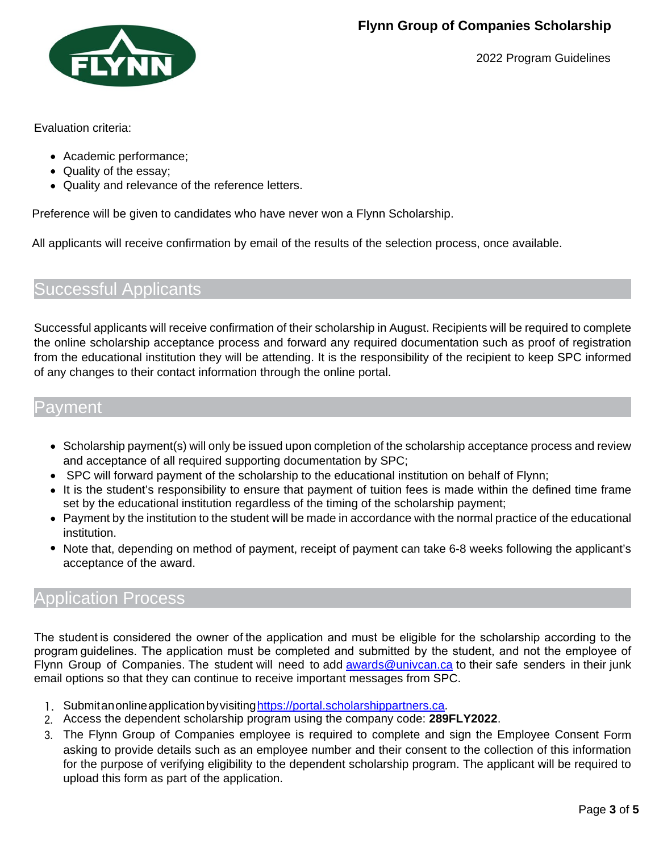

Evaluation criteria:

- Academic performance;
- Quality of the essay;
- Quality and relevance of the reference letters.

Preference will be given to candidates who have never won a Flynn Scholarship.

All applicants will receive confirmation by email of the results of the selection process, once available.

## Successful Applicants

Successful applicants will receive confirmation of their scholarship in August. Recipients will be required to complete the online scholarship acceptance process and forward any required documentation such as proof of registration from the educational institution they will be attending. It is the responsibility of the recipient to keep SPC informed of any changes to their contact information through the online portal.

### Payment

- Scholarship payment(s) will only be issued upon completion of the scholarship acceptance process and review and acceptance of all required supporting documentation by SPC;
- SPC will forward payment of the scholarship to the educational institution on behalf of Flynn;
- It is the student's responsibility to ensure that payment of tuition fees is made within the defined time frame set by the educational institution regardless of the timing of the scholarship payment;
- Payment by the institution to the student will be made in accordance with the normal practice of the educational institution.
- Note that, depending on method of payment, receipt of payment can take 6-8 weeks following the applicant's acceptance of the award.

## Application Process

The student is considered the owner of the application and must be eligible for the scholarship according to the program guidelines. The application must be completed and submitted by the student, and not the employee of Flynn Group of Companies. The student will need to add [awards@univcan.ca](mailto:awards@univcan.ca) to their safe senders in their junk email options so that they can continue to receive important messages from SPC.

- 1. Submitanonlineapplicationbyvisitin[ghttps://portal.scholarshippartners.ca.](https://portal.scholarshippartners.ca/)
- 2. Access the dependent scholarship program using the company code: **289FLY2022**.
- 3. The Flynn Group of Companies employee is required to complete and sign the Employee Consent Form asking to provide details such as an employee number and their consent to the collection of this information for the purpose of verifying eligibility to the dependent scholarship program. The applicant will be required to upload this form as part of the application.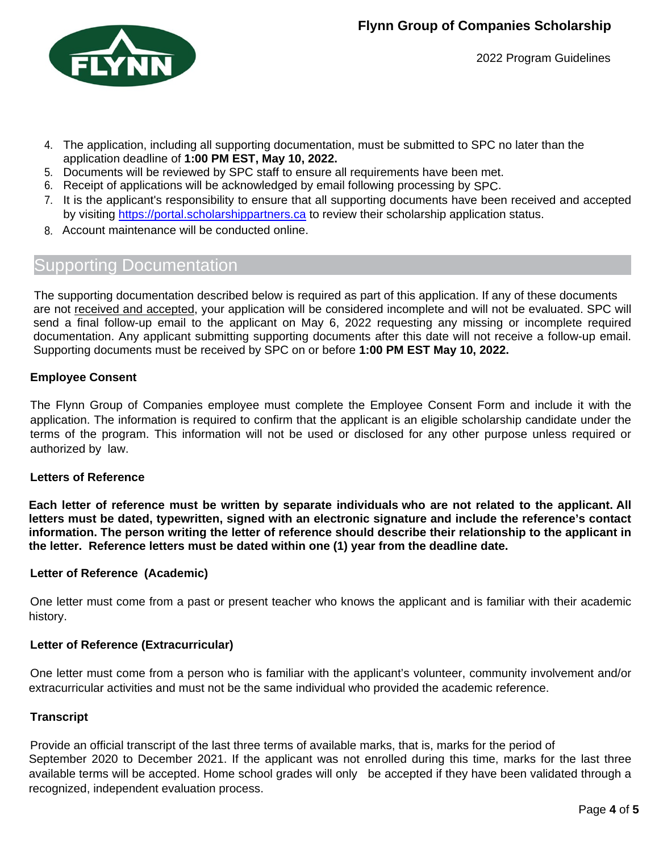

- 4. The application, including all supporting documentation, must be submitted to SPC no later than the application deadline of **1:00 PM EST, May 10, 2022.**
- 5. Documents will be reviewed by SPC staff to ensure all requirements have been met.
- 6. Receipt of applications will be acknowledged by email following processing by SPC.
- 7. It is the applicant's responsibility to ensure that all supporting documents have been received and accepted by visiting [https://portal.scholarshippartners.ca](https://portal.scholarshippartners.ca/) to review their scholarship application status.
- 8. Account maintenance will be conducted online.

## Supporting Documentation

The supporting documentation described below is required as part of this application. If any of these documents are not received and accepted, your application will be considered incomplete and will not be evaluated. SPC will send a final follow-up email to the applicant on May 6, 2022 requesting any missing or incomplete required documentation. Any applicant submitting supporting documents after this date will not receive a follow-up email. Supporting documents must be received by SPC on or before **1:00 PM EST May 10, 2022.**

#### **Employee Consent**

The Flynn Group of Companies employee must complete the Employee Consent Form and include it with the application. The information is required to confirm that the applicant is an eligible scholarship candidate under the terms of the program. This information will not be used or disclosed for any other purpose unless required or authorized by law.

#### **Letters of Reference**

**Each letter of reference must be written by separate individuals who are not related to the applicant. All letters must be dated, typewritten, signed with an electronic signature and include the reference's contact information. The person writing the letter of reference should describe their relationship to the applicant in the letter. Reference letters must be dated within one (1) year from the deadline date.**

#### **Letter of Reference (Academic)**

One letter must come from a past or present teacher who knows the applicant and is familiar with their academic history.

#### **Letter of Reference (Extracurricular)**

One letter must come from a person who is familiar with the applicant's volunteer, community involvement and/or extracurricular activities and must not be the same individual who provided the academic reference.

#### **Transcript**

Provide an official transcript of the last three terms of available marks, that is, marks for the period of September 2020 to December 2021. If the applicant was not enrolled during this time, marks for the last three available terms will be accepted. Home school grades will only be accepted if they have been validated through a recognized, independent evaluation process.